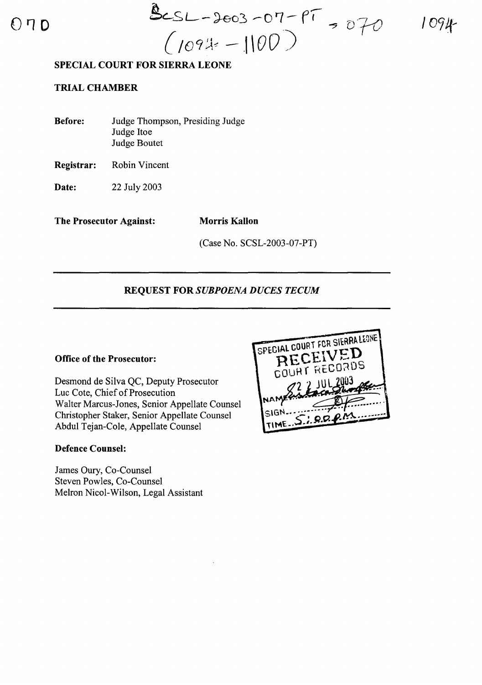$070$   $965L - 3603 - 07 - 97$ *(/09* ~~~ -- ,1 \*00* ')

1094

## SPECIAL COURT FOR SIERRA LEONE

## TRIAL CHAMBER

| <b>Before:</b> | Judge Thompson, Presiding Judge |
|----------------|---------------------------------|
|                | Judge Itoe                      |
|                | <b>Judge Boutet</b>             |

Registrar: Robin Vincent

**Date:** 22 July 2003

The Prosecutor Against: Morris Kallon

(Case No. SCSL-2003-07-PT)

#### REQUEST FOR *SUBPOENA DUCES TECUM*

#### Office of the Prosecutor:

Desmond de Silva QC, Deputy Prosecutor Luc Cote, Chief of Prosecution Walter Marcus-Jones, Senior Appellate Counsel Christopher Staker, Senior Appellate Counsel Abdul Tejan-Cole, Appellate Counsel

## Defence Counsel:

James Oury, Co-Counsel Steven Powles, Co-Counsel Melron Nicol-Wilson, Legal Assistant

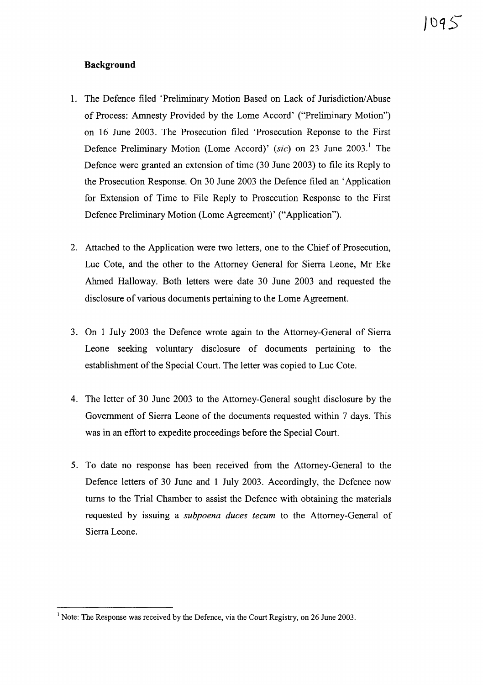#### **Background**

- 1. The Defence filed 'Preliminary Motion Based on Lack of Jurisdiction/Abuse of Process: Amnesty Provided by the Lome Accord' ("Preliminary Motion") on 16 June 2003. The Prosecution filed 'Prosecution Reponse to the First Defence Preliminary Motion (Lome Accord)' *(sic)* on 23 June 2003.<sup>1</sup> The Defence were granted an extension of time (30 June 2003) to file its Reply to the Prosecution Response. On 30 June 2003 the Defence filed an 'Application for Extension of Time to File Reply to Prosecution Response to the First Defence Preliminary Motion (Lome Agreement)' ("Application").
- 2. Attached to the Application were two letters, one to the Chief of Prosecution, Luc Cote, and the other to the Attorney General for Sierra Leone, Mr Eke Ahmed Halloway. Both letters were date 30 June 2003 and requested the disclosure of various documents pertaining to the Lome Agreement.
- 3. On 1 July 2003 the Defence wrote again to the Attorney-General of Sierra Leone seeking voluntary disclosure of documents pertaining to the establishment of the Special Court. The letter was copied to Luc Cote.
- 4. The letter of 30 June 2003 to the Attorney-General sought disclosure by the Government of Sierra Leone of the documents requested within 7 days. This was in an effort to expedite proceedings before the Special Court.
- 5. To date no response has been received from the Attorney-General to the Defence letters of 30 June and 1 July 2003. Accordingly, the Defence now turns to the Trial Chamber to assist the Defence with obtaining the materials requested by issuing a *subpoena duces tecum* to the Attorney-General of Sierra Leone.

<sup>&</sup>lt;sup>1</sup> Note: The Response was received by the Defence, via the Court Registry, on 26 June 2003.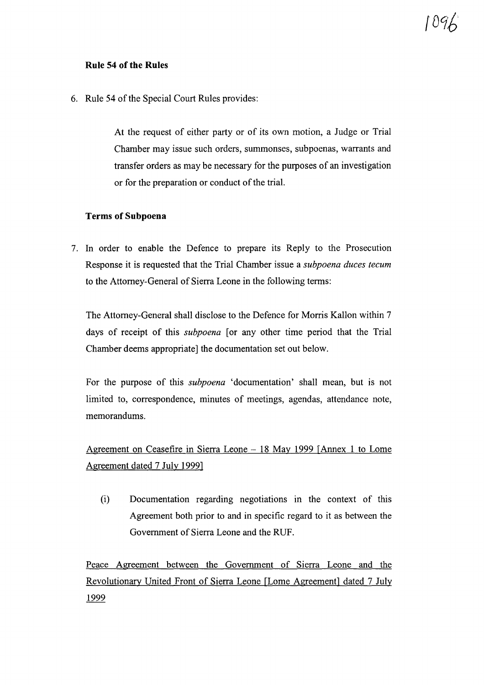## **Rule 54 of the Rules**

6. Rule 54 of the Special Court Rules provides:

At the request of either party or of its own motion, a Judge or Trial Chamber may issue such orders, summonses, subpoenas, warrants and transfer orders as may be necessary for the purposes of an investigation or for the preparation or conduct of the trial.

## **Terms of Subpoena**

7. In order to enable the Defence to prepare its Reply to the Prosecution Response it is requested that the Trial Chamber issue a *subpoena duces tecum* to the Attorney-General of Sierra Leone in the following terms:

The Attorney-General shall disclose to the Defence for Morris Kallon within 7 days of receipt of this *subpoena* [or any other time period that the Trial Chamber deems appropriate] the documentation set out below.

For the purpose of this *subpoena* 'documentation' shall mean, but is not limited to, correspondence, minutes of meetings, agendas, attendance note, memorandums.

Agreement on Ceasefire in Sierra Leone - 18 May 1999 [Annex 1 to Lome Agreement dated 7 July 1999]

(i) Documentation regarding negotiations in the context of this Agreement both prior to and in specific regard to it as between the Government of Sierra Leone and the RUF.

Peace Agreement between the Government of Sierra Leone and the Revolutionary United Front of Sierra Leone [Lome Agreement] dated 7 July 1999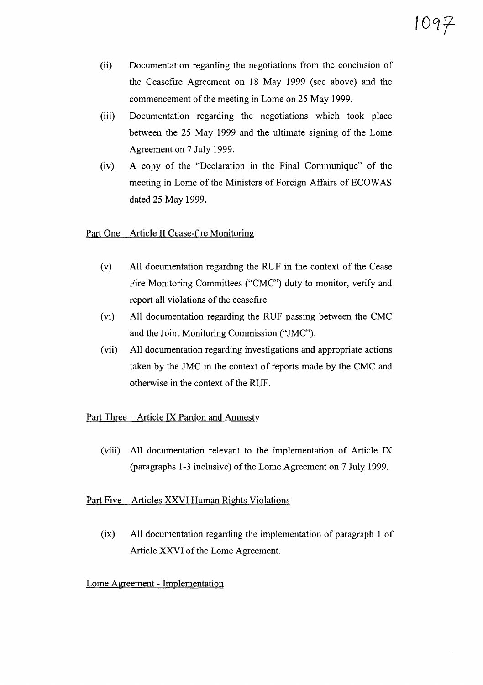- (ii) Documentation regarding the negotiations from the conclusion of the Ceasefire Agreement on 18 May 1999 (see above) and the commencement of the meeting in Lome on 25 May 1999.
- (iii) Documentation regarding the negotiations which took place between the 25 May 1999 and the ultimate signing of the Lome Agreement on 7 July 1999.
- $(iv)$  A copy of the "Declaration in the Final Communique" of the meeting in Lome of the Ministers of Foreign Affairs of ECOWAS dated 25 May 1999.

## Part One - Article II Cease-fire Monitoring

- (v) All documentation regarding the RUF in the context of the Cease Fire Monitoring Committees ("CMC") duty to monitor, verify and report all violations of the ceasefire.
- (vi) All documentation regarding the RUF passing between the CMC and the Joint Monitoring Commission ("JMC").
- (vii) All documentation regarding investigations and appropriate actions taken by the JMC in the context of reports made by the CMC and otherwise in the context of the RUF.

## Part Three - Article IX Pardon and Amnesty

(viii) All documentation relevant to the implementation of Article IX (paragraphs 1-3 inclusive) of the Lome Agreement on 7 July 1999.

# Part Five - Articles XXVI Human Rights Violations

(ix) All documentation regarding the implementation of paragraph 1 of Article XXVI of the Lome Agreement.

# Lome Agreement - Implementation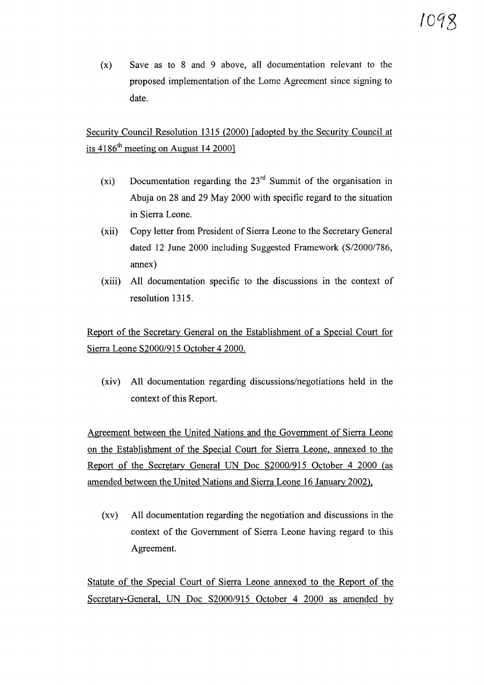(x) Save as to 8 and 9 above, all documentation relevant to the proposed implementation of the Lome Agreement since signing to date.

Security Council Resolution 1315 (2000) [adopted by the Security Council at its  $4186<sup>th</sup>$  meeting on August 14 2000]

- (xi) Documentation regarding the 23rd Summit of the organisation in Abuja on 28 and 29 May 2000 with specific regard to the situation in Sierra Leone.
- (xii) Copy letter from President of Sierra Leone to the Secretary General dated 12 June 2000 including Suggested Framework (S/2000/786, annex)
- (xiii) All documentation specific to the discussions in the context of resolution 1315.

Report of the Secretary General on the Establishment of a Special Court for Sierra Leone S2000/915 October 42000.

(xiv) All documentation regarding discussions/negotiations held in the context of this Report.

Agreement between the United Nations and the Government of Sierra Leone on the Establishment of the Special Court for Sierra Leone, annexed to the Report of the Secretary General UN Doc S2000/915 October 4 2000 (as amended between the United Nations and Sierra Leone 16 January 2002),

(xv) All documentation regarding the negotiation and discussions in the context of the Government of Sierra Leone having regard to this Agreement.

Statute of the Special Court of Sierra Leone annexed to the Report of the Secretary-General, UN Doc S2000/915 October 4 2000 as amended by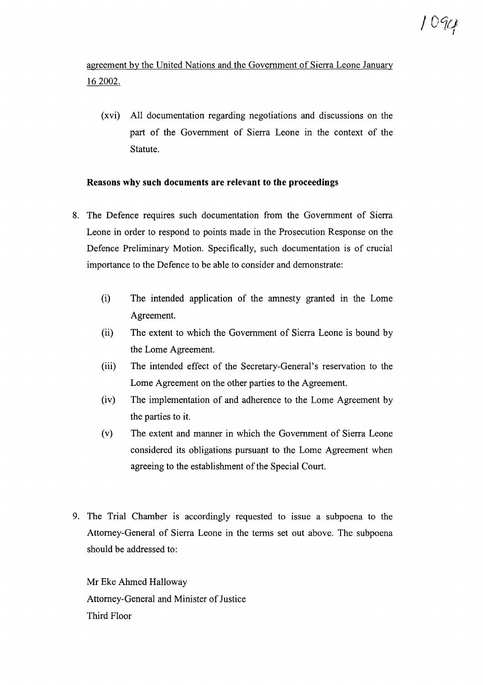agreement by the United Nations and the Government of Sierra Leone January 162002.

(xvi) All documentation regarding negotiations and discussions on the part of the Government of Sierra Leone in the context of the Statute.

## **Reasons why such documents are relevant to the proceedings**

- 8. The Defence requires such documentation from the Government of Sierra Leone in order to respond to points made in the Prosecution Response on the Defence Preliminary Motion. Specifically, such documentation is of crucial importance to the Defence to be able to consider and demonstrate:
	- (i) The intended application of the amnesty granted in the Lome Agreement.
	- (ii) The extent to which the Government of Sierra Leone is bound by the Lome Agreement.
	- (iii) The intended effect of the Secretary-General's reservation to the Lome Agreement on the other parties to the Agreement.
	- (iv) The implementation of and adherence to the Lome Agreement by the parties to it.
	- (v) The extent and manner in which the Government of Sierra Leone considered its obligations pursuant to the Lome Agreement when agreeing to the establishment of the Special Court.
- 9. The Trial Chamber is accordingly requested to issue a subpoena to the Attorney-General of Sierra Leone in the terms set out above. The subpoena should be addressed to:

Mr Eke Ahmed Halloway Attorney-General and Minister of Justice Third Floor